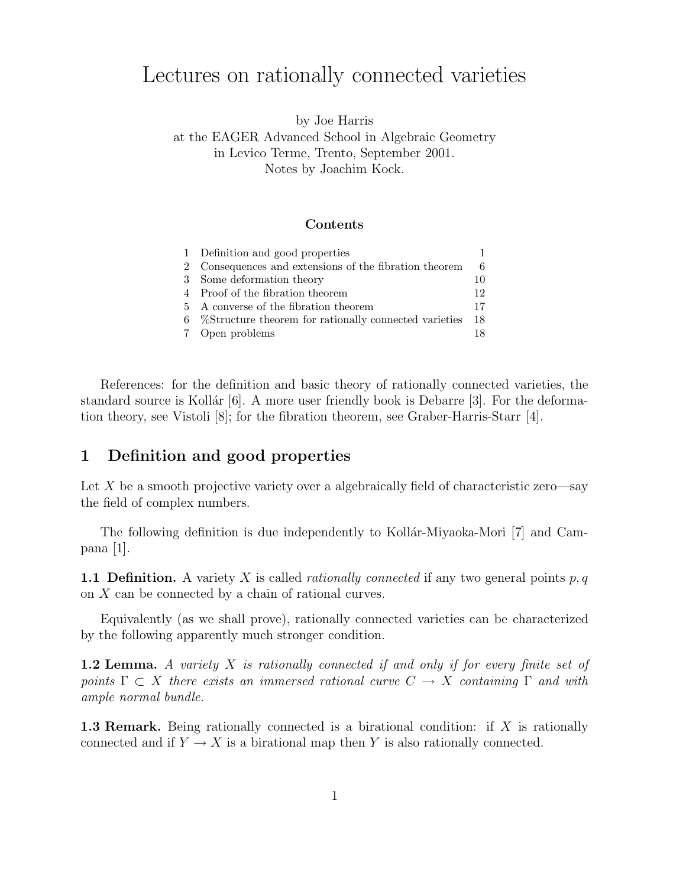# Lectures on rationally connected varieties

by Joe Harris at the EAGER Advanced School in Algebraic Geometry in Levico Terme, Trento, September 2001. Notes by Joachim Kock.

#### Contents

| 1 Definition and good properties                        |     |
|---------------------------------------------------------|-----|
| 2 Consequences and extensions of the fibration theorem  |     |
| 3 Some deformation theory                               | 10  |
| 4 Proof of the fibration theorem                        | 12  |
| 5 A converse of the fibration theorem                   | 17  |
| 6 %Structure theorem for rationally connected varieties | -18 |
| 7 Open problems                                         | 18  |

References: for the definition and basic theory of rationally connected varieties, the standard source is Kollár  $[6]$ . A more user friendly book is Debarre  $[3]$ . For the deformation theory, see Vistoli [8]; for the fibration theorem, see Graber-Harris-Starr [4].

# 1 Definition and good properties

Let X be a smooth projective variety over a algebraically field of characteristic zero—say the field of complex numbers.

The following definition is due independently to Kollár-Miyaoka-Mori [7] and Campana [1].

**1.1 Definition.** A variety X is called *rationally connected* if any two general points  $p, q$ on X can be connected by a chain of rational curves.

Equivalently (as we shall prove), rationally connected varieties can be characterized by the following apparently much stronger condition.

**1.2 Lemma.** A variety X is rationally connected if and only if for every finite set of points  $\Gamma \subset X$  there exists an immersed rational curve  $C \to X$  containing  $\Gamma$  and with ample normal bundle.

1.3 Remark. Being rationally connected is a birational condition: if X is rationally connected and if  $Y \to X$  is a birational map then Y is also rationally connected.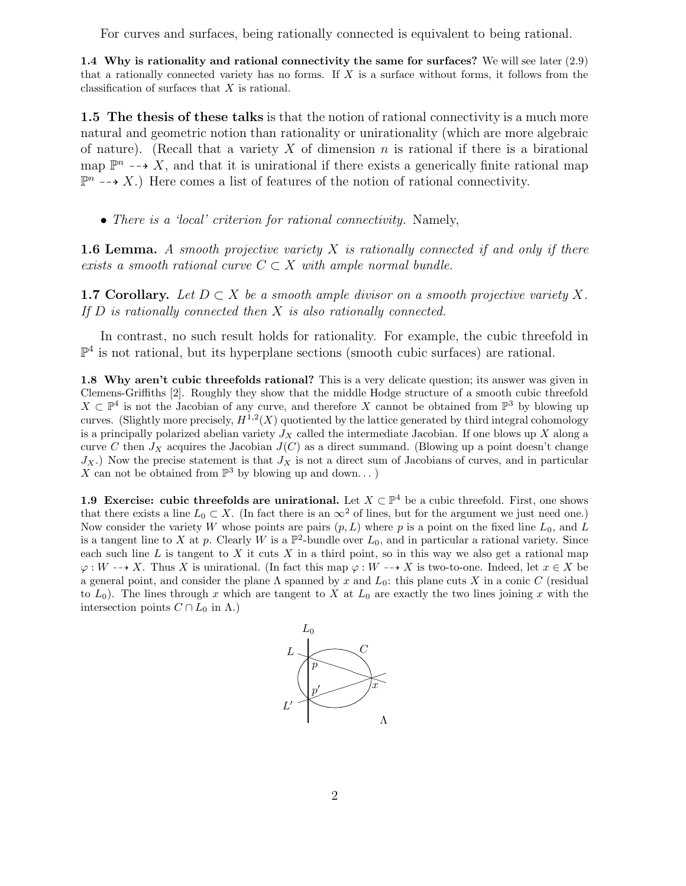For curves and surfaces, being rationally connected is equivalent to being rational.

1.4 Why is rationality and rational connectivity the same for surfaces? We will see later (2.9) that a rationally connected variety has no forms. If  $X$  is a surface without forms, it follows from the classification of surfaces that X is rational.

1.5 The thesis of these talks is that the notion of rational connectivity is a much more natural and geometric notion than rationality or unirationality (which are more algebraic of nature). (Recall that a variety X of dimension n is rational if there is a birational map  $\mathbb{P}^n \dashrightarrow X$ , and that it is unirational if there exists a generically finite rational map  $\mathbb{P}^n \dashrightarrow X$ .) Here comes a list of features of the notion of rational connectivity.

#### • There is a 'local' criterion for rational connectivity. Namely,

**1.6 Lemma.** A smooth projective variety X is rationally connected if and only if there exists a smooth rational curve  $C \subset X$  with ample normal bundle.

**1.7 Corollary.** Let  $D \subset X$  be a smooth ample divisor on a smooth projective variety X. If  $D$  is rationally connected then  $X$  is also rationally connected.

In contrast, no such result holds for rationality. For example, the cubic threefold in  $\mathbb{P}^4$  is not rational, but its hyperplane sections (smooth cubic surfaces) are rational.

1.8 Why aren't cubic threefolds rational? This is a very delicate question; its answer was given in Clemens-Griffiths [2]. Roughly they show that the middle Hodge structure of a smooth cubic threefold  $X \subset \mathbb{P}^4$  is not the Jacobian of any curve, and therefore X cannot be obtained from  $\mathbb{P}^3$  by blowing up curves. (Slightly more precisely,  $H^{1,2}(X)$  quotiented by the lattice generated by third integral cohomology is a principally polarized abelian variety  $J_X$  called the intermediate Jacobian. If one blows up X along a curve C then  $J_X$  acquires the Jacobian  $J(C)$  as a direct summand. (Blowing up a point doesn't change  $J_X$ .) Now the precise statement is that  $J_X$  is not a direct sum of Jacobians of curves, and in particular  $X$  can not be obtained from  $\mathbb{P}^3$  by blowing up and down. . . )

1.9 Exercise: cubic threefolds are unirational. Let  $X \subset \mathbb{P}^4$  be a cubic threefold. First, one shows that there exists a line  $L_0 \subset X$ . (In fact there is an  $\infty^2$  of lines, but for the argument we just need one.) Now consider the variety W whose points are pairs  $(p, L)$  where p is a point on the fixed line  $L_0$ , and L is a tangent line to X at p. Clearly W is a  $\mathbb{P}^2$ -bundle over  $L_0$ , and in particular a rational variety. Since each such line  $L$  is tangent to  $X$  it cuts  $X$  in a third point, so in this way we also get a rational map  $\varphi: W \dashrightarrow X$ . Thus X is unirational. (In fact this map  $\varphi: W \dashrightarrow X$  is two-to-one. Indeed, let  $x \in X$  be a general point, and consider the plane  $\Lambda$  spanned by x and  $L_0$ : this plane cuts X in a conic C (residual to  $L_0$ ). The lines through x which are tangent to X at  $L_0$  are exactly the two lines joining x with the intersection points  $C \cap L_0$  in  $\Lambda$ .)

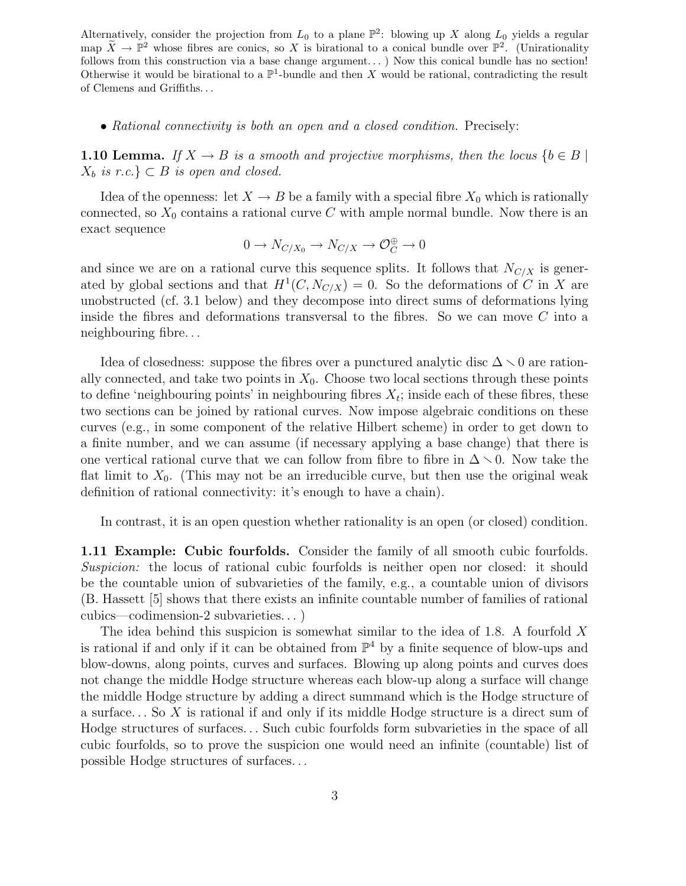Alternatively, consider the projection from  $L_0$  to a plane  $\mathbb{P}^2$ : blowing up X along  $L_0$  yields a regular map  $X \to \mathbb{P}^2$  whose fibres are conics, so X is birational to a conical bundle over  $\mathbb{P}^2$ . (Unirationality follows from this construction via a base change argument...) Now this conical bundle has no section! Otherwise it would be birational to a  $\mathbb{P}^1$ -bundle and then X would be rational, contradicting the result of Clemens and Griffiths. . .

• Rational connectivity is both an open and a closed condition. Precisely:

**1.10 Lemma.** If  $X \to B$  is a smooth and projective morphisms, then the locus  $\{b \in B \mid$  $X_b$  is r.c.}  $\subset B$  is open and closed.

Idea of the openness: let  $X \to B$  be a family with a special fibre  $X_0$  which is rationally connected, so  $X_0$  contains a rational curve C with ample normal bundle. Now there is an exact sequence

$$
0 \to N_{C/X_0} \to N_{C/X} \to \mathcal{O}_C^{\oplus} \to 0
$$

and since we are on a rational curve this sequence splits. It follows that  $N_{C/X}$  is generated by global sections and that  $H^1(C, N_{C/X}) = 0$ . So the deformations of C in X are unobstructed (cf. 3.1 below) and they decompose into direct sums of deformations lying inside the fibres and deformations transversal to the fibres. So we can move  $C$  into a neighbouring fibre. . .

Idea of closedness: suppose the fibres over a punctured analytic disc  $\Delta \setminus 0$  are rationally connected, and take two points in  $X_0$ . Choose two local sections through these points to define 'neighbouring points' in neighbouring fibres  $X_t$ ; inside each of these fibres, these two sections can be joined by rational curves. Now impose algebraic conditions on these curves (e.g., in some component of the relative Hilbert scheme) in order to get down to a finite number, and we can assume (if necessary applying a base change) that there is one vertical rational curve that we can follow from fibre to fibre in  $\Delta \setminus 0$ . Now take the flat limit to  $X_0$ . (This may not be an irreducible curve, but then use the original weak definition of rational connectivity: it's enough to have a chain).

In contrast, it is an open question whether rationality is an open (or closed) condition.

1.11 Example: Cubic fourfolds. Consider the family of all smooth cubic fourfolds. Suspicion: the locus of rational cubic fourfolds is neither open nor closed: it should be the countable union of subvarieties of the family, e.g., a countable union of divisors (B. Hassett [5] shows that there exists an infinite countable number of families of rational cubics—codimension-2 subvarieties. . . )

The idea behind this suspicion is somewhat similar to the idea of 1.8. A fourfold X is rational if and only if it can be obtained from  $\mathbb{P}^4$  by a finite sequence of blow-ups and blow-downs, along points, curves and surfaces. Blowing up along points and curves does not change the middle Hodge structure whereas each blow-up along a surface will change the middle Hodge structure by adding a direct summand which is the Hodge structure of a surface. . . So X is rational if and only if its middle Hodge structure is a direct sum of Hodge structures of surfaces. . . Such cubic fourfolds form subvarieties in the space of all cubic fourfolds, so to prove the suspicion one would need an infinite (countable) list of possible Hodge structures of surfaces. . .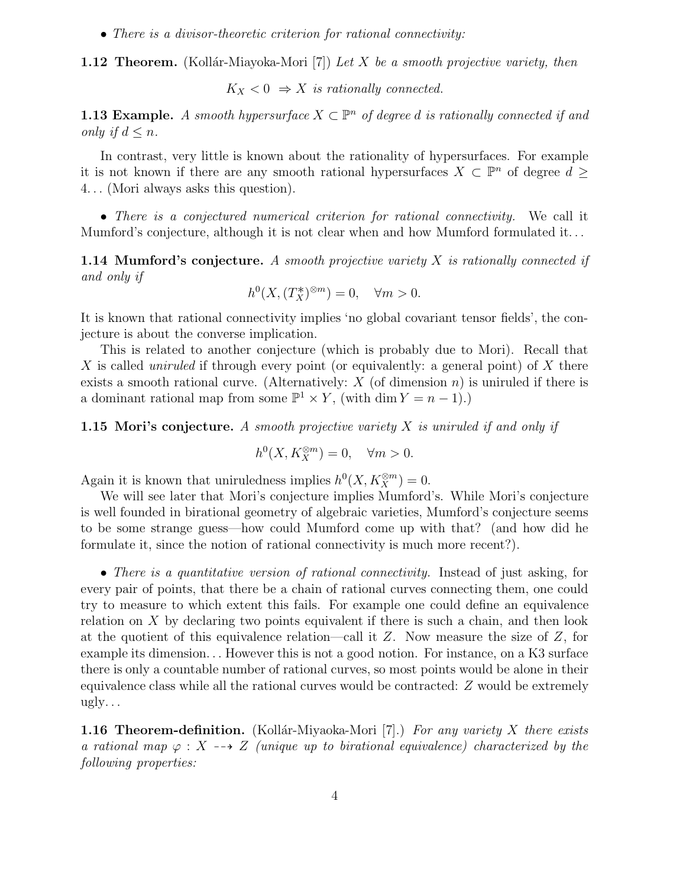• There is a divisor-theoretic criterion for rational connectivity:

**1.12 Theorem.** (Kollár-Miayoka-Mori [7]) Let X be a smooth projective variety, then

 $K_X < 0 \Rightarrow X$  is rationally connected.

**1.13 Example.** A smooth hypersurface  $X \subset \mathbb{P}^n$  of degree d is rationally connected if and only if  $d \leq n$ .

In contrast, very little is known about the rationality of hypersurfaces. For example it is not known if there are any smooth rational hypersurfaces  $X \subset \mathbb{P}^n$  of degree  $d \geq$ 4. . . (Mori always asks this question).

• There is a conjectured numerical criterion for rational connectivity. We call it Mumford's conjecture, although it is not clear when and how Mumford formulated it. . .

**1.14 Mumford's conjecture.** A smooth projective variety  $X$  is rationally connected if and only if

$$
h^0(X, (T_X^*)^{\otimes m}) = 0, \quad \forall m > 0.
$$

It is known that rational connectivity implies 'no global covariant tensor fields', the conjecture is about the converse implication.

This is related to another conjecture (which is probably due to Mori). Recall that X is called *uniruled* if through every point (or equivalently: a general point) of X there exists a smooth rational curve. (Alternatively:  $X$  (of dimension n) is uniruled if there is a dominant rational map from some  $\mathbb{P}^1 \times Y$ , (with dim  $Y = n - 1$ ).)

**1.15 Mori's conjecture.** A smooth projective variety X is uniruled if and only if

$$
h^0(X, K_X^{\otimes m}) = 0, \quad \forall m > 0.
$$

Again it is known that uniruledness implies  $h^0(X, K_X^{\otimes m}) = 0$ .

We will see later that Mori's conjecture implies Mumford's. While Mori's conjecture is well founded in birational geometry of algebraic varieties, Mumford's conjecture seems to be some strange guess—how could Mumford come up with that? (and how did he formulate it, since the notion of rational connectivity is much more recent?).

• There is a quantitative version of rational connectivity. Instead of just asking, for every pair of points, that there be a chain of rational curves connecting them, one could try to measure to which extent this fails. For example one could define an equivalence relation on  $X$  by declaring two points equivalent if there is such a chain, and then look at the quotient of this equivalence relation—call it  $Z$ . Now measure the size of  $Z$ , for example its dimension. . . However this is not a good notion. For instance, on a K3 surface there is only a countable number of rational curves, so most points would be alone in their equivalence class while all the rational curves would be contracted: Z would be extremely  $ugly.$ ..

**1.16 Theorem-definition.** (Kollár-Miyaoka-Mori [7].) For any variety X there exists a rational map  $\varphi : X \dashrightarrow Z$  (unique up to birational equivalence) characterized by the following properties: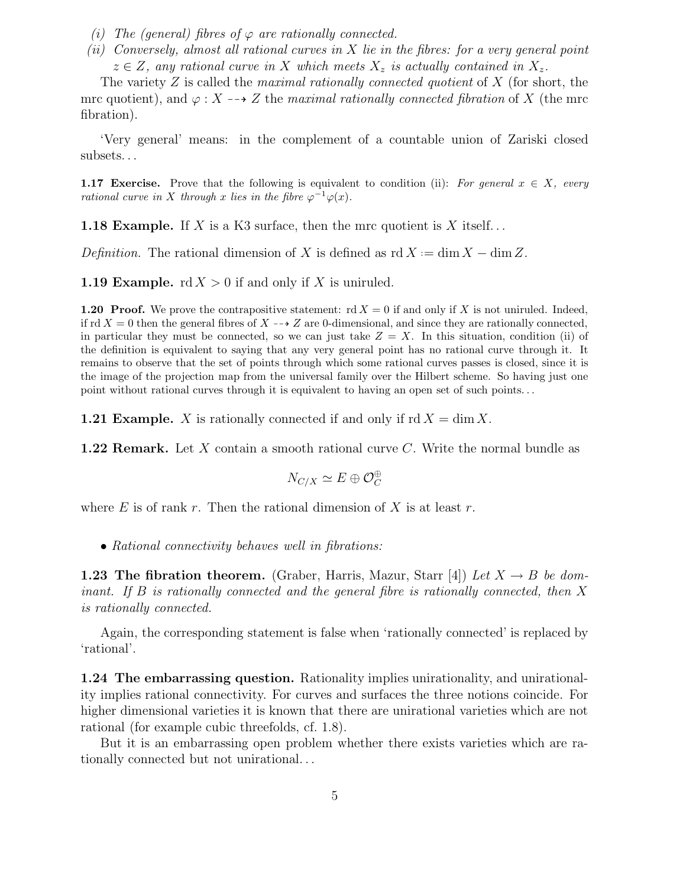- (i) The (general) fibres of  $\varphi$  are rationally connected.
- (ii) Conversely, almost all rational curves in X lie in the fibres: for a very general point  $z \in Z$ , any rational curve in X which meets  $X_z$  is actually contained in  $X_z$ .

The variety Z is called the *maximal rationally connected quotient* of  $X$  (for short, the mrc quotient), and  $\varphi: X \dashrightarrow Z$  the maximal rationally connected fibration of X (the mrc fibration).

'Very general' means: in the complement of a countable union of Zariski closed subsets. . .

**1.17 Exercise.** Prove that the following is equivalent to condition (ii): For general  $x \in X$ , every rational curve in X through x lies in the fibre  $\varphi^{-1}\varphi(x)$ .

**1.18 Example.** If X is a K3 surface, then the mrc quotient is X itself...

Definition. The rational dimension of X is defined as  $\text{rd } X := \dim X - \dim Z$ .

**1.19 Example.**  $\text{rd } X > 0$  if and only if X is unituled.

**1.20 Proof.** We prove the contrapositive statement:  $\text{rd } X = 0$  if and only if X is not uniruled. Indeed, if rd  $X = 0$  then the general fibres of  $X \rightarrow Z$  are 0-dimensional, and since they are rationally connected, in particular they must be connected, so we can just take  $Z = X$ . In this situation, condition (ii) of the definition is equivalent to saying that any very general point has no rational curve through it. It remains to observe that the set of points through which some rational curves passes is closed, since it is the image of the projection map from the universal family over the Hilbert scheme. So having just one point without rational curves through it is equivalent to having an open set of such points. . .

**1.21 Example.** X is rationally connected if and only if  $\text{rd } X = \dim X$ .

**1.22 Remark.** Let X contain a smooth rational curve C. Write the normal bundle as

$$
N_{C/X} \simeq E \oplus \mathcal{O}_C^{\oplus}
$$

where E is of rank r. Then the rational dimension of X is at least r.

• Rational connectivity behaves well in fibrations:

**1.23 The fibration theorem.** (Graber, Harris, Mazur, Starr [4]) Let  $X \rightarrow B$  be dominant. If B is rationally connected and the general fibre is rationally connected, then X is rationally connected.

Again, the corresponding statement is false when 'rationally connected' is replaced by 'rational'.

1.24 The embarrassing question. Rationality implies unirationality, and unirationality implies rational connectivity. For curves and surfaces the three notions coincide. For higher dimensional varieties it is known that there are unirational varieties which are not rational (for example cubic threefolds, cf. 1.8).

But it is an embarrassing open problem whether there exists varieties which are rationally connected but not unirational. . .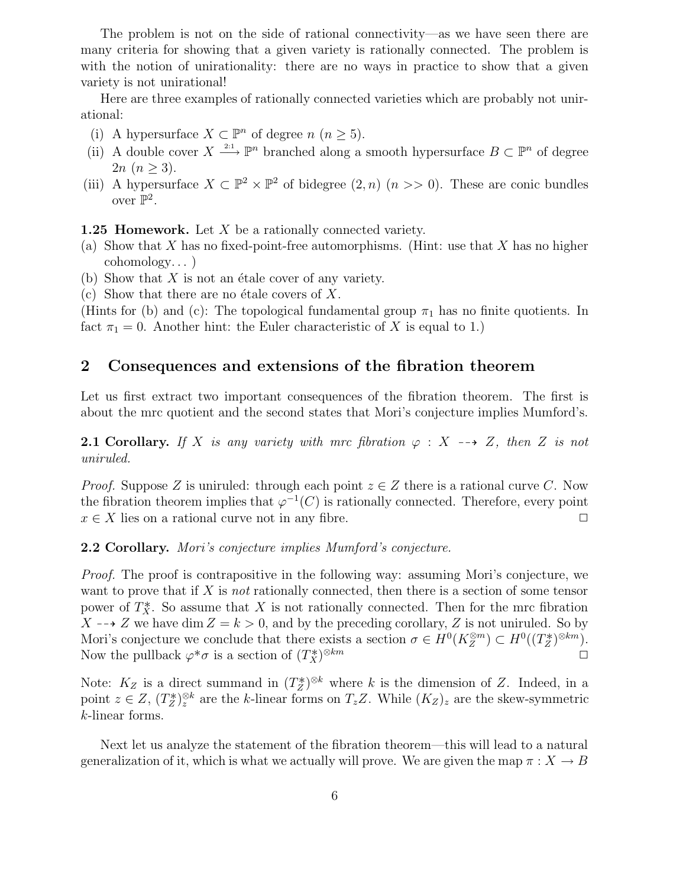The problem is not on the side of rational connectivity—as we have seen there are many criteria for showing that a given variety is rationally connected. The problem is with the notion of unirationality: there are no ways in practice to show that a given variety is not unirational!

Here are three examples of rationally connected varieties which are probably not unirational:

- (i) A hypersurface  $X \subset \mathbb{P}^n$  of degree  $n (n \geq 5)$ .
- (ii) A double cover  $X \xrightarrow{2:1} \mathbb{P}^n$  branched along a smooth hypersurface  $B \subset \mathbb{P}^n$  of degree  $2n (n > 3)$ .
- (iii) A hypersurface  $X \subset \mathbb{P}^2 \times \mathbb{P}^2$  of bidegree  $(2, n)$   $(n \gg 0)$ . These are conic bundles over  $\mathbb{P}^2$ .

**1.25 Homework.** Let  $X$  be a rationally connected variety.

- (a) Show that X has no fixed-point-free automorphisms. (Hint: use that X has no higher cohomology. . . )
- (b) Show that  $X$  is not an étale cover of any variety.
- (c) Show that there are no étale covers of  $X$ .

(Hints for (b) and (c): The topological fundamental group  $\pi_1$  has no finite quotients. In fact  $\pi_1 = 0$ . Another hint: the Euler characteristic of X is equal to 1.)

## 2 Consequences and extensions of the fibration theorem

Let us first extract two important consequences of the fibration theorem. The first is about the mrc quotient and the second states that Mori's conjecture implies Mumford's.

**2.1 Corollary.** If X is any variety with mrc fibration  $\varphi : X \dashrightarrow Z$ , then Z is not uniruled.

*Proof.* Suppose Z is uniruled: through each point  $z \in Z$  there is a rational curve C. Now the fibration theorem implies that  $\varphi^{-1}(C)$  is rationally connected. Therefore, every point  $x \in X$  lies on a rational curve not in any fibre.  $\Box$ 

2.2 Corollary. Mori's conjecture implies Mumford's conjecture.

Proof. The proof is contrapositive in the following way: assuming Mori's conjecture, we want to prove that if  $X$  is not rationally connected, then there is a section of some tensor power of  $T^*_X$ . So assume that X is not rationally connected. Then for the mrc fibration  $X \rightarrow Z$  we have dim  $Z = k > 0$ , and by the preceding corollary, Z is not uniruled. So by Mori's conjecture we conclude that there exists a section  $\sigma \in H^0(K_Z^{\otimes m}) \subset H^0((T_Z^*)^{\otimes km})$ . Now the pullback  $\varphi^*\sigma$  is a section of  $(T_X^*)$  $\otimes km$ 

Note:  $K_Z$  is a direct summand in  $(T_Z^*)^{\otimes k}$  where k is the dimension of Z. Indeed, in a point  $z \in Z$ ,  $(T^*_{Z})_z^{\otimes k}$  are the k-linear forms on  $T_z Z$ . While  $(K_Z)_z$  are the skew-symmetric k-linear forms.

Next let us analyze the statement of the fibration theorem—this will lead to a natural generalization of it, which is what we actually will prove. We are given the map  $\pi : X \to B$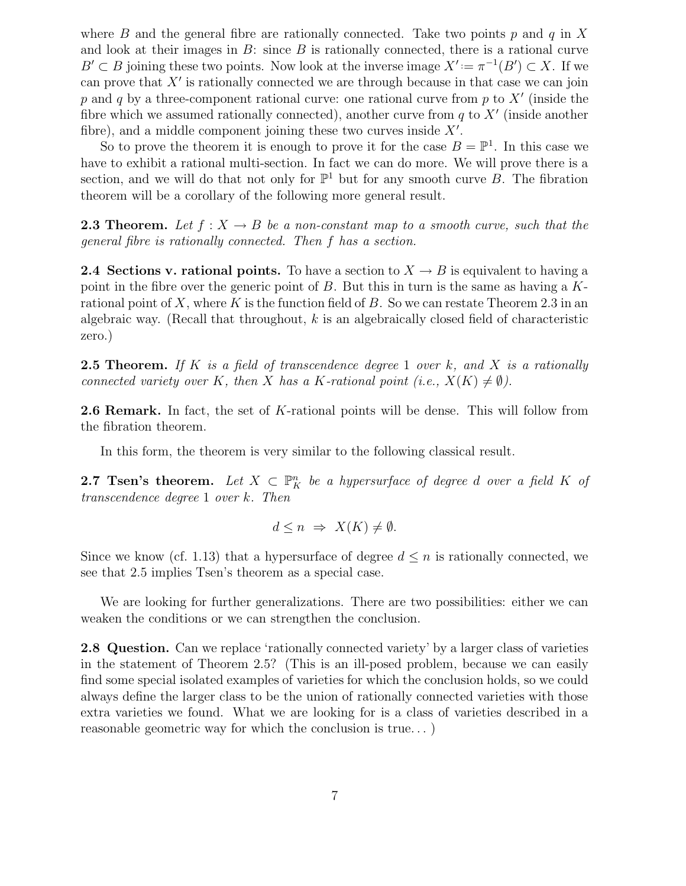where B and the general fibre are rationally connected. Take two points p and q in X and look at their images in  $B$ : since  $B$  is rationally connected, there is a rational curve  $B' \subset B$  joining these two points. Now look at the inverse image  $X' := \pi^{-1}(B') \subset X$ . If we can prove that  $X'$  is rationally connected we are through because in that case we can join p and q by a three-component rational curve: one rational curve from p to  $X'$  (inside the fibre which we assumed rationally connected), another curve from  $q$  to  $X'$  (inside another fibre), and a middle component joining these two curves inside  $X'$ .

So to prove the theorem it is enough to prove it for the case  $B = \mathbb{P}^1$ . In this case we have to exhibit a rational multi-section. In fact we can do more. We will prove there is a section, and we will do that not only for  $\mathbb{P}^1$  but for any smooth curve B. The fibration theorem will be a corollary of the following more general result.

**2.3 Theorem.** Let  $f: X \to B$  be a non-constant map to a smooth curve, such that the general fibre is rationally connected. Then f has a section.

2.4 Sections v. rational points. To have a section to  $X \to B$  is equivalent to having a point in the fibre over the generic point of B. But this in turn is the same as having a  $K$ rational point of X, where K is the function field of B. So we can restate Theorem 2.3 in an algebraic way. (Recall that throughout,  $k$  is an algebraically closed field of characteristic zero.)

**2.5 Theorem.** If K is a field of transcendence degree 1 over k, and X is a rationally connected variety over K, then X has a K-rational point (i.e.,  $X(K) \neq \emptyset$ ).

2.6 Remark. In fact, the set of K-rational points will be dense. This will follow from the fibration theorem.

In this form, the theorem is very similar to the following classical result.

**2.7 Tsen's theorem.** Let  $X \subset \mathbb{P}^n$  be a hypersurface of degree d over a field K of transcendence degree 1 over k. Then

$$
d \le n \ \Rightarrow \ X(K) \neq \emptyset.
$$

Since we know (cf. 1.13) that a hypersurface of degree  $d \leq n$  is rationally connected, we see that 2.5 implies Tsen's theorem as a special case.

We are looking for further generalizations. There are two possibilities: either we can weaken the conditions or we can strengthen the conclusion.

2.8 Question. Can we replace 'rationally connected variety' by a larger class of varieties in the statement of Theorem 2.5? (This is an ill-posed problem, because we can easily find some special isolated examples of varieties for which the conclusion holds, so we could always define the larger class to be the union of rationally connected varieties with those extra varieties we found. What we are looking for is a class of varieties described in a reasonable geometric way for which the conclusion is true. . . )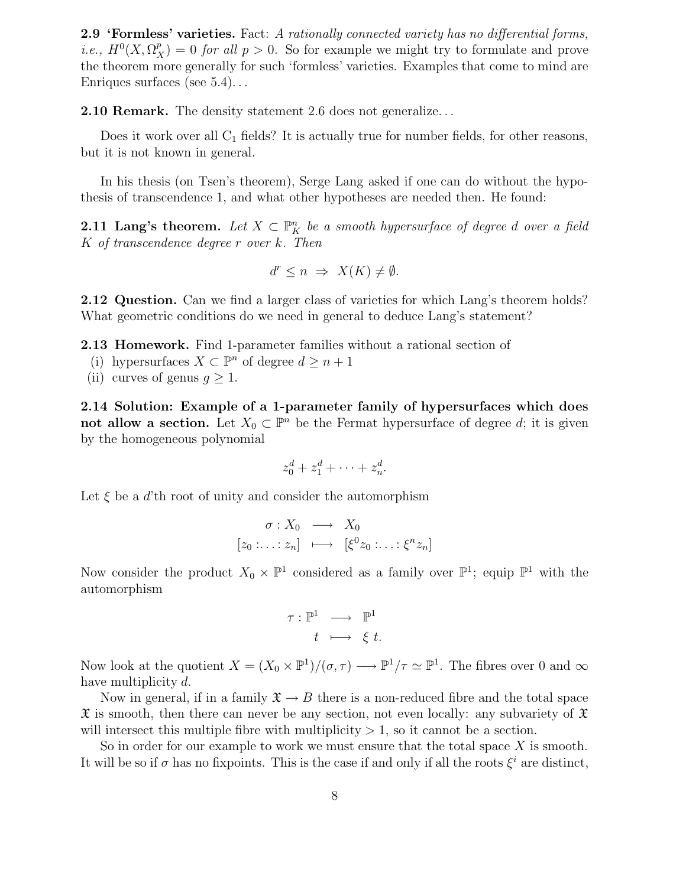2.9 'Formless' varieties. Fact: A rationally connected variety has no differential forms, *i.e.*,  $H^0(X, \Omega_X^p) = 0$  *for all p* > 0. So for example we might try to formulate and prove the theorem more generally for such 'formless' varieties. Examples that come to mind are Enriques surfaces (see 5.4). . .

2.10 Remark. The density statement 2.6 does not generalize. . .

Does it work over all  $C_1$  fields? It is actually true for number fields, for other reasons, but it is not known in general.

In his thesis (on Tsen's theorem), Serge Lang asked if one can do without the hypothesis of transcendence 1, and what other hypotheses are needed then. He found:

**2.11 Lang's theorem.** Let  $X \subset \mathbb{P}^n$  be a smooth hypersurface of degree d over a field K of transcendence degree r over k. Then

$$
d^r \le n \implies X(K) \neq \emptyset.
$$

**2.12 Question.** Can we find a larger class of varieties for which Lang's theorem holds? What geometric conditions do we need in general to deduce Lang's statement?

2.13 Homework. Find 1-parameter families without a rational section of

- (i) hypersurfaces  $X \subset \mathbb{P}^n$  of degree  $d \geq n+1$
- (ii) curves of genus  $g \geq 1$ .

2.14 Solution: Example of a 1-parameter family of hypersurfaces which does not allow a section. Let  $X_0 \subset \mathbb{P}^n$  be the Fermat hypersurface of degree d; it is given by the homogeneous polynomial

$$
z_0^d + z_1^d + \cdots + z_n^d.
$$

Let  $\xi$  be a d'th root of unity and consider the automorphism

$$
\begin{array}{rcl}\n\sigma: X_0 & \longrightarrow & X_0 \\
[z_0: \ldots : z_n] & \longmapsto & [\xi^0 z_0: \ldots : \xi^n z_n]\n\end{array}
$$

Now consider the product  $X_0 \times \mathbb{P}^1$  considered as a family over  $\mathbb{P}^1$ ; equip  $\mathbb{P}^1$  with the automorphism

$$
\begin{array}{rcl} \tau: \mathbb{P}^1 & \longrightarrow & \mathbb{P}^1 \\ & t & \longmapsto & \xi \ t. \end{array}
$$

Now look at the quotient  $X = (X_0 \times \mathbb{P}^1)/(\sigma, \tau) \longrightarrow \mathbb{P}^1/\tau \simeq \mathbb{P}^1$ . The fibres over 0 and  $\infty$ have multiplicity d.

Now in general, if in a family  $\mathfrak{X} \to B$  there is a non-reduced fibre and the total space  $\mathfrak X$  is smooth, then there can never be any section, not even locally: any subvariety of  $\mathfrak X$ will intersect this multiple fibre with multiplicity  $> 1$ , so it cannot be a section.

So in order for our example to work we must ensure that the total space  $X$  is smooth. It will be so if  $\sigma$  has no fixpoints. This is the case if and only if all the roots  $\xi^i$  are distinct,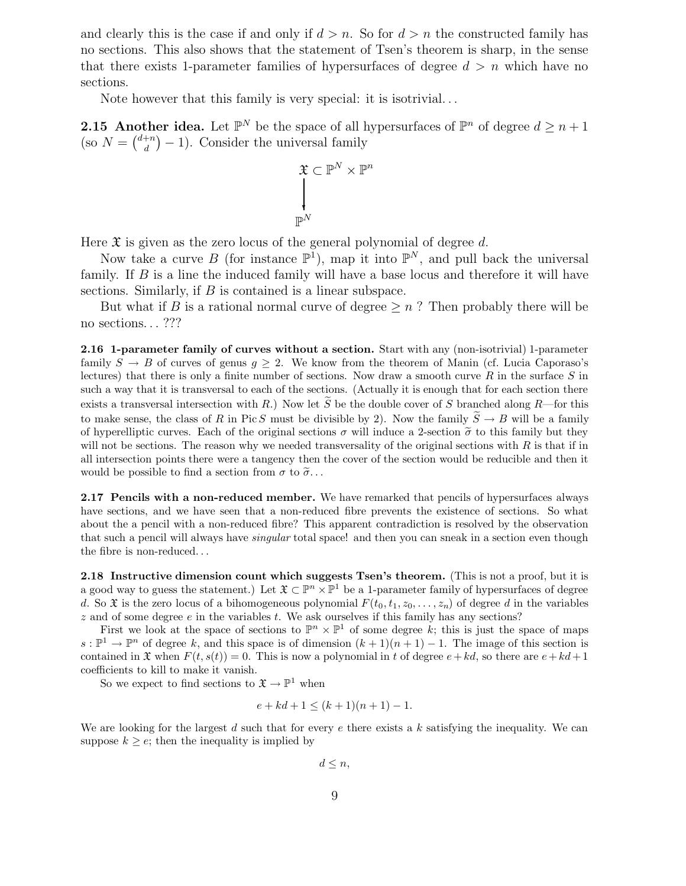and clearly this is the case if and only if  $d > n$ . So for  $d > n$  the constructed family has no sections. This also shows that the statement of Tsen's theorem is sharp, in the sense that there exists 1-parameter families of hypersurfaces of degree  $d > n$  which have no sections.

Note however that this family is very special: it is isotrivial. . .

**2.15 Another idea.** Let  $\mathbb{P}^N$  be the space of all hypersurfaces of  $\mathbb{P}^n$  of degree  $d \geq n+1$ (so  $N = \binom{d+n}{d}$  $\binom{+n}{d} - 1$ . Consider the universal family

$$
\begin{aligned} \mathfrak{X}\subset\mathbb{P}^N\times\mathbb{P}^n\\ \Big\downarrow\\ \mathbb{P}^N \end{aligned}
$$

Here  $\mathfrak X$  is given as the zero locus of the general polynomial of degree d.

Now take a curve B (for instance  $\mathbb{P}^1$ ), map it into  $\mathbb{P}^N$ , and pull back the universal family. If B is a line the induced family will have a base locus and therefore it will have sections. Similarly, if B is contained is a linear subspace.

But what if B is a rational normal curve of degree  $\geq n$ ? Then probably there will be no sections...???

2.16 1-parameter family of curves without a section. Start with any (non-isotrivial) 1-parameter family  $S \to B$  of curves of genus  $g \geq 2$ . We know from the theorem of Manin (cf. Lucia Caporaso's lectures) that there is only a finite number of sections. Now draw a smooth curve  $R$  in the surface  $S$  in such a way that it is transversal to each of the sections. (Actually it is enough that for each section there exists a transversal intersection with R.) Now let  $\widetilde{S}$  be the double cover of S branched along R—for this to make sense, the class of R in Pic S must be divisible by 2). Now the family  $\widetilde{S} \to B$  will be a family of hyperelliptic curves. Each of the original sections  $\sigma$  will induce a 2-section  $\tilde{\sigma}$  to this family but they will not be sections. The reason why we needed transversality of the original sections with  $R$  is that if in all intersection points there were a tangency then the cover of the section would be reducible and then it would be possible to find a section from  $\sigma$  to  $\tilde{\sigma}$ ...

2.17 Pencils with a non-reduced member. We have remarked that pencils of hypersurfaces always have sections, and we have seen that a non-reduced fibre prevents the existence of sections. So what about the a pencil with a non-reduced fibre? This apparent contradiction is resolved by the observation that such a pencil will always have singular total space! and then you can sneak in a section even though the fibre is non-reduced. . .

2.18 Instructive dimension count which suggests Tsen's theorem. (This is not a proof, but it is a good way to guess the statement.) Let  $\mathfrak{X} \subset \mathbb{P}^n \times \mathbb{P}^1$  be a 1-parameter family of hypersurfaces of degree d. So  $\mathfrak X$  is the zero locus of a bihomogeneous polynomial  $F(t_0,t_1,z_0,\ldots,z_n)$  of degree d in the variables  $z$  and of some degree  $e$  in the variables  $t$ . We ask ourselves if this family has any sections?

First we look at the space of sections to  $\mathbb{P}^n \times \mathbb{P}^1$  of some degree k; this is just the space of maps  $s : \mathbb{P}^1 \to \mathbb{P}^n$  of degree k, and this space is of dimension  $(k+1)(n+1) - 1$ . The image of this section is contained in  $\mathfrak X$  when  $F(t, s(t)) = 0$ . This is now a polynomial in t of degree  $e + kd$ , so there are  $e + kd + 1$ coefficients to kill to make it vanish.

So we expect to find sections to  $\mathfrak{X} \to \mathbb{P}^1$  when

$$
e + kd + 1 \le (k+1)(n+1) - 1.
$$

We are looking for the largest d such that for every  $e$  there exists a k satisfying the inequality. We can suppose  $k \geq e$ ; then the inequality is implied by

 $d \leq n$ ,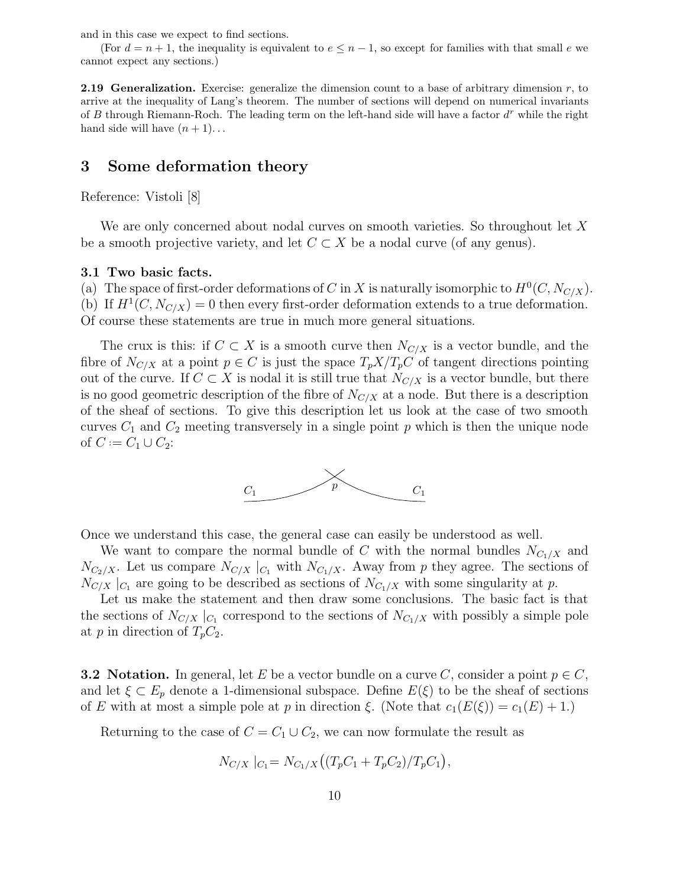and in this case we expect to find sections.

(For  $d = n + 1$ , the inequality is equivalent to  $e \leq n - 1$ , so except for families with that small e we cannot expect any sections.)

**2.19 Generalization.** Exercise: generalize the dimension count to a base of arbitrary dimension  $r$ , to arrive at the inequality of Lang's theorem. The number of sections will depend on numerical invariants of B through Riemann-Roch. The leading term on the left-hand side will have a factor  $d^r$  while the right hand side will have  $(n + 1)$ ...

### 3 Some deformation theory

Reference: Vistoli [8]

We are only concerned about nodal curves on smooth varieties. So throughout let X be a smooth projective variety, and let  $C \subset X$  be a nodal curve (of any genus).

#### 3.1 Two basic facts.

(a) The space of first-order deformations of C in X is naturally isomorphic to  $H^0(C, N_{C/X})$ . (b) If  $H^1(C, N_{C/X}) = 0$  then every first-order deformation extends to a true deformation. Of course these statements are true in much more general situations.

The crux is this: if  $C \subset X$  is a smooth curve then  $N_{C/X}$  is a vector bundle, and the fibre of  $N_{C/X}$  at a point  $p \in C$  is just the space  $T_p X/T_p C$  of tangent directions pointing out of the curve. If  $C \subset X$  is nodal it is still true that  $N_{C/X}$  is a vector bundle, but there is no good geometric description of the fibre of  $N_{C/X}$  at a node. But there is a description of the sheaf of sections. To give this description let us look at the case of two smooth curves  $C_1$  and  $C_2$  meeting transversely in a single point p which is then the unique node of  $C := C_1 ∪ C_2$ :



Once we understand this case, the general case can easily be understood as well.

We want to compare the normal bundle of C with the normal bundles  $N_{C_1/X}$  and  $N_{C_2/X}$ . Let us compare  $N_{C/X}$   $|_{C_1}$  with  $N_{C_1/X}$ . Away from p they agree. The sections of  $N_{C/X}$  | $_{C_1}$  are going to be described as sections of  $N_{C_1/X}$  with some singularity at p.

Let us make the statement and then draw some conclusions. The basic fact is that the sections of  $N_{C/X}$   $|_{C_1}$  correspond to the sections of  $N_{C_1/X}$  with possibly a simple pole at p in direction of  $T_pC_2$ .

**3.2 Notation.** In general, let E be a vector bundle on a curve C, consider a point  $p \in C$ , and let  $\xi \subset E_p$  denote a 1-dimensional subspace. Define  $E(\xi)$  to be the sheaf of sections of E with at most a simple pole at p in direction  $\xi$ . (Note that  $c_1(E(\xi)) = c_1(E) + 1$ .)

Returning to the case of  $C = C_1 \cup C_2$ , we can now formulate the result as

$$
N_{C/X} |_{C_1} = N_{C_1/X} ((T_p C_1 + T_p C_2) / T_p C_1),
$$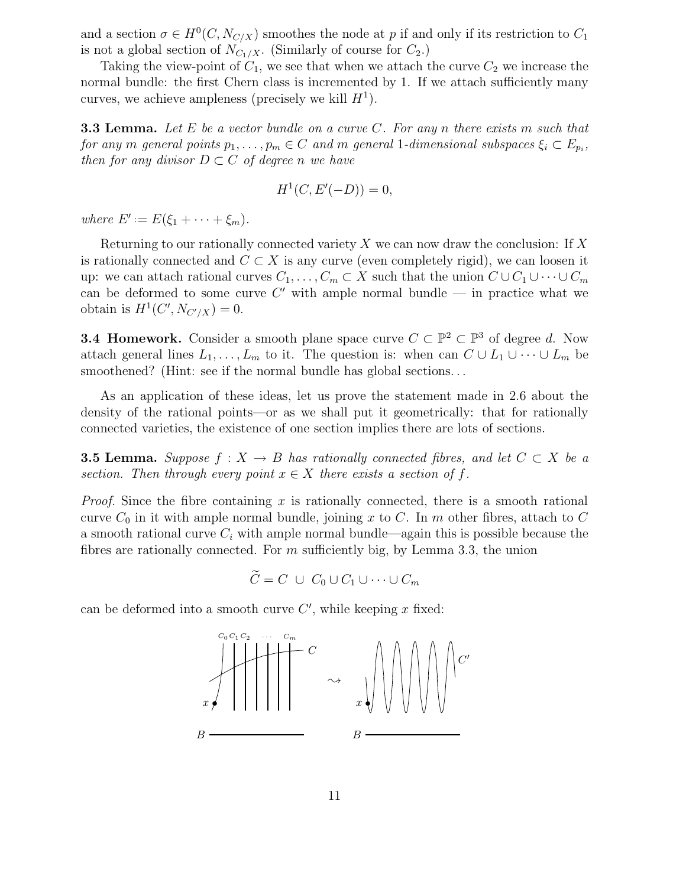and a section  $\sigma \in H^0(C, N_{C/X})$  smoothes the node at p if and only if its restriction to  $C_1$ is not a global section of  $N_{C_1/X}$ . (Similarly of course for  $C_2$ .)

Taking the view-point of  $C_1$ , we see that when we attach the curve  $C_2$  we increase the normal bundle: the first Chern class is incremented by 1. If we attach sufficiently many curves, we achieve ampleness (precisely we kill  $H<sup>1</sup>$ ).

**3.3 Lemma.** Let  $E$  be a vector bundle on a curve  $C$ . For any n there exists m such that for any m general points  $p_1, \ldots, p_m \in C$  and m general 1-dimensional subspaces  $\xi_i \subset E_{p_i}$ , then for any divisor  $D \subset C$  of degree n we have

$$
H^1(C, E'(-D)) = 0,
$$

where  $E' := E(\xi_1 + \cdots + \xi_m)$ .

Returning to our rationally connected variety X we can now draw the conclusion: If X is rationally connected and  $C \subset X$  is any curve (even completely rigid), we can loosen it up: we can attach rational curves  $C_1, \ldots, C_m \subset X$  such that the union  $C \cup C_1 \cup \cdots \cup C_m$ can be deformed to some curve C' with ample normal bundle  $-$  in practice what we obtain is  $H^1(C', N_{C'/X}) = 0.$ 

**3.4 Homework.** Consider a smooth plane space curve  $C \subset \mathbb{P}^2 \subset \mathbb{P}^3$  of degree d. Now attach general lines  $L_1, \ldots, L_m$  to it. The question is: when can  $C \cup L_1 \cup \cdots \cup L_m$  be smoothened? (Hint: see if the normal bundle has global sections...

As an application of these ideas, let us prove the statement made in 2.6 about the density of the rational points—or as we shall put it geometrically: that for rationally connected varieties, the existence of one section implies there are lots of sections.

**3.5 Lemma.** Suppose  $f : X \to B$  has rationally connected fibres, and let  $C \subset X$  be a section. Then through every point  $x \in X$  there exists a section of f.

*Proof.* Since the fibre containing x is rationally connected, there is a smooth rational curve  $C_0$  in it with ample normal bundle, joining x to C. In m other fibres, attach to C a smooth rational curve  $C_i$  with ample normal bundle—again this is possible because the fibres are rationally connected. For  $m$  sufficiently big, by Lemma 3.3, the union

$$
C = C \cup C_0 \cup C_1 \cup \cdots \cup C_m
$$

can be deformed into a smooth curve  $C'$ , while keeping x fixed:

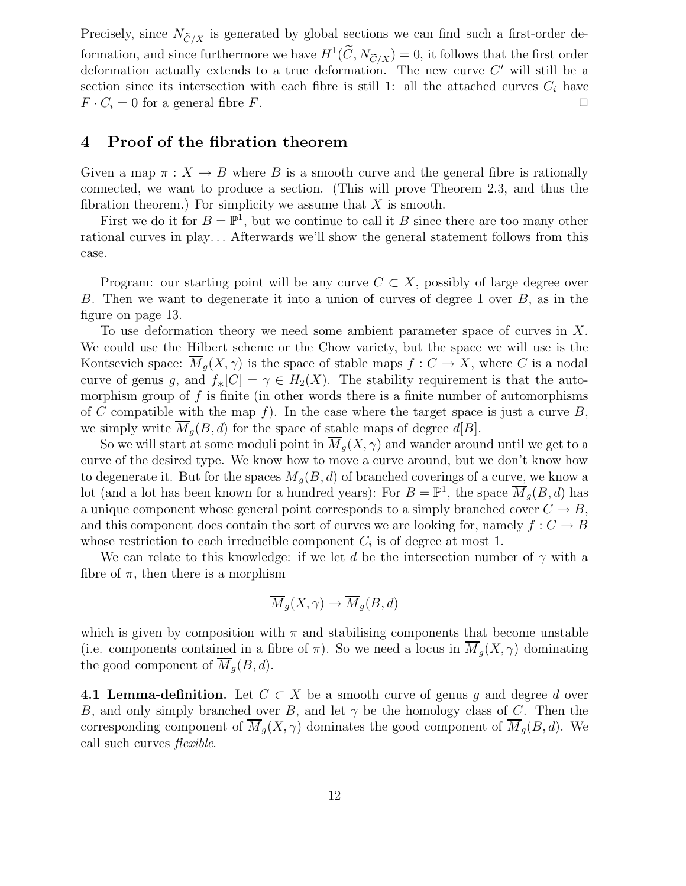Precisely, since  $N_{\widetilde C/X}$  is generated by global sections we can find such a first-order deformation, and since furthermore we have  $H^1(C, N_{\tilde{C}/X}) = 0$ , it follows that the first order deformation actually extends to a true deformation. The new curve  $C'$  will still be a section since its intersection with each fibre is still 1: all the attached curves  $C_i$  have  $F \cdot C_i = 0$  for a general fibre F.

### 4 Proof of the fibration theorem

Given a map  $\pi : X \to B$  where B is a smooth curve and the general fibre is rationally connected, we want to produce a section. (This will prove Theorem 2.3, and thus the fibration theorem.) For simplicity we assume that  $X$  is smooth.

First we do it for  $B = \mathbb{P}^1$ , but we continue to call it B since there are too many other rational curves in play. . . Afterwards we'll show the general statement follows from this case.

Program: our starting point will be any curve  $C \subset X$ , possibly of large degree over B. Then we want to degenerate it into a union of curves of degree 1 over B, as in the figure on page 13.

To use deformation theory we need some ambient parameter space of curves in X. We could use the Hilbert scheme or the Chow variety, but the space we will use is the Kontsevich space:  $\overline{M}_q(X, \gamma)$  is the space of stable maps  $f : C \to X$ , where C is a nodal curve of genus g, and  $f_*[C] = \gamma \in H_2(X)$ . The stability requirement is that the auto-<br>mean-lign group of f is finite (in other words there is a finite number of outemorphisms morphism group of  $f$  is finite (in other words there is a finite number of automorphisms of C compatible with the map f). In the case where the target space is just a curve  $B$ , we simply write  $M_q(B, d)$  for the space of stable maps of degree  $d[B]$ .

So we will start at some moduli point in  $\overline{M}_q(X, \gamma)$  and wander around until we get to a curve of the desired type. We know how to move a curve around, but we don't know how to degenerate it. But for the spaces  $\overline{M}_q(B, d)$  of branched coverings of a curve, we know a lot (and a lot has been known for a hundred years): For  $B = \mathbb{P}^1$ , the space  $\overline{M}_g(B, d)$  has a unique component whose general point corresponds to a simply branched cover  $C \rightarrow B$ , and this component does contain the sort of curves we are looking for, namely  $f: C \to B$ whose restriction to each irreducible component  $C_i$  is of degree at most 1.

We can relate to this knowledge: if we let d be the intersection number of  $\gamma$  with a fibre of  $\pi$ , then there is a morphism

$$
\overline{M}_g(X,\gamma) \to \overline{M}_g(B,d)
$$

which is given by composition with  $\pi$  and stabilising components that become unstable (i.e. components contained in a fibre of  $\pi$ ). So we need a locus in  $M_q(X, \gamma)$  dominating the good component of  $\overline{M}_q(B, d)$ .

4.1 Lemma-definition. Let  $C \subset X$  be a smooth curve of genus g and degree d over B, and only simply branched over B, and let  $\gamma$  be the homology class of C. Then the corresponding component of  $\overline{M}_q(X, \gamma)$  dominates the good component of  $\overline{M}_q(B, d)$ . We call such curves flexible.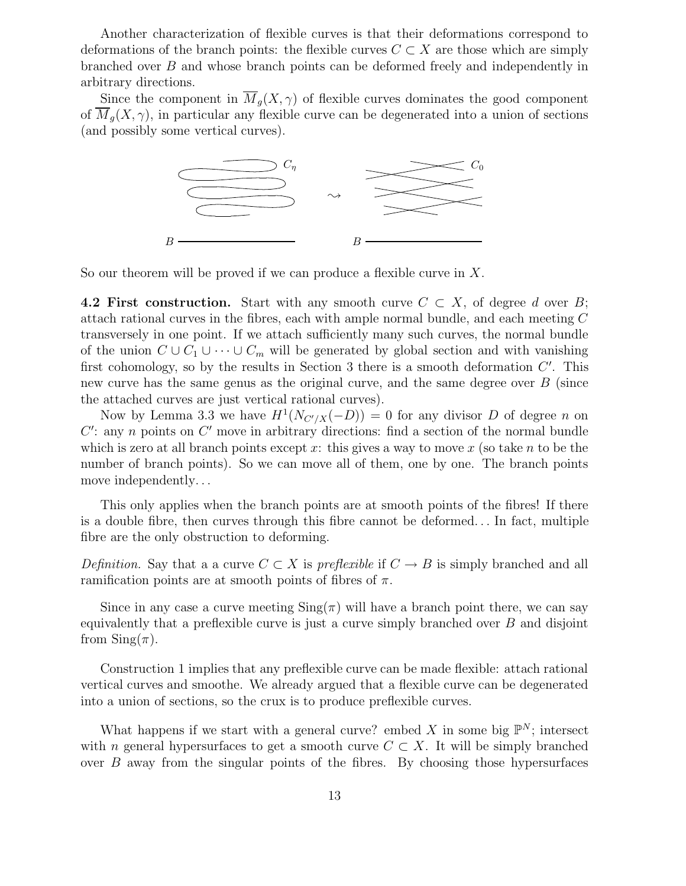Another characterization of flexible curves is that their deformations correspond to deformations of the branch points: the flexible curves  $C \subset X$  are those which are simply branched over B and whose branch points can be deformed freely and independently in arbitrary directions.

Since the component in  $\overline{M}_q(X,\gamma)$  of flexible curves dominates the good component of  $M_q(X, \gamma)$ , in particular any flexible curve can be degenerated into a union of sections (and possibly some vertical curves).



So our theorem will be proved if we can produce a flexible curve in X.

4.2 First construction. Start with any smooth curve  $C \subset X$ , of degree d over B; attach rational curves in the fibres, each with ample normal bundle, and each meeting C transversely in one point. If we attach sufficiently many such curves, the normal bundle of the union  $C \cup C_1 \cup \cdots \cup C_m$  will be generated by global section and with vanishing first cohomology, so by the results in Section 3 there is a smooth deformation  $C'$ . This new curve has the same genus as the original curve, and the same degree over  $B$  (since the attached curves are just vertical rational curves).

Now by Lemma 3.3 we have  $H^1(N_{C'/X}(-D)) = 0$  for any divisor D of degree n on  $C'$ : any n points on  $C'$  move in arbitrary directions: find a section of the normal bundle which is zero at all branch points except x: this gives a way to move x (so take n to be the number of branch points). So we can move all of them, one by one. The branch points move independently. . .

This only applies when the branch points are at smooth points of the fibres! If there is a double fibre, then curves through this fibre cannot be deformed. . . In fact, multiple fibre are the only obstruction to deforming.

Definition. Say that a a curve  $C \subset X$  is preflexible if  $C \to B$  is simply branched and all ramification points are at smooth points of fibres of  $\pi$ .

Since in any case a curve meeting  $\text{Sing}(\pi)$  will have a branch point there, we can say equivalently that a preflexible curve is just a curve simply branched over  $B$  and disjoint from  $\mathrm{Sing}(\pi)$ .

Construction 1 implies that any preflexible curve can be made flexible: attach rational vertical curves and smoothe. We already argued that a flexible curve can be degenerated into a union of sections, so the crux is to produce preflexible curves.

What happens if we start with a general curve? embed X in some big  $\mathbb{P}^N$ ; intersect with n general hypersurfaces to get a smooth curve  $C \subset X$ . It will be simply branched over  $B$  away from the singular points of the fibres. By choosing those hypersurfaces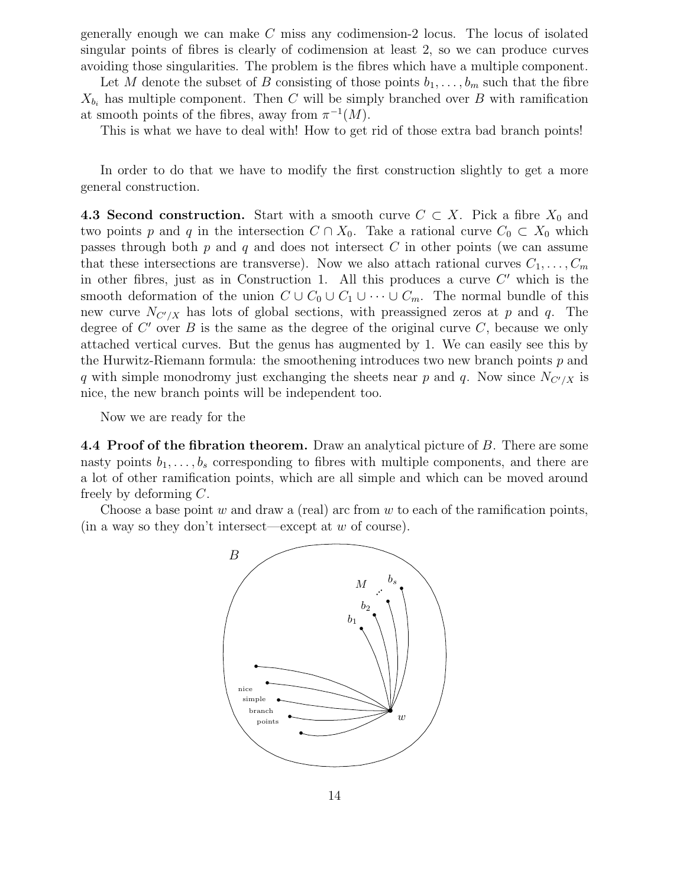generally enough we can make C miss any codimension-2 locus. The locus of isolated singular points of fibres is clearly of codimension at least 2, so we can produce curves avoiding those singularities. The problem is the fibres which have a multiple component.

Let M denote the subset of B consisting of those points  $b_1, \ldots, b_m$  such that the fibre  $X_{b_i}$  has multiple component. Then C will be simply branched over B with ramification at smooth points of the fibres, away from  $\pi^{-1}(M)$ .

This is what we have to deal with! How to get rid of those extra bad branch points!

In order to do that we have to modify the first construction slightly to get a more general construction.

4.3 Second construction. Start with a smooth curve  $C \subset X$ . Pick a fibre  $X_0$  and two points p and q in the intersection  $C \cap X_0$ . Take a rational curve  $C_0 \subset X_0$  which passes through both  $p$  and  $q$  and does not intersect  $C$  in other points (we can assume that these intersections are transverse). Now we also attach rational curves  $C_1, \ldots, C_m$ in other fibres, just as in Construction 1. All this produces a curve  $C'$  which is the smooth deformation of the union  $C \cup C_0 \cup C_1 \cup \cdots \cup C_m$ . The normal bundle of this new curve  $N_{C'/X}$  has lots of global sections, with preassigned zeros at p and q. The degree of  $C'$  over  $B$  is the same as the degree of the original curve  $C$ , because we only attached vertical curves. But the genus has augmented by 1. We can easily see this by the Hurwitz-Riemann formula: the smoothening introduces two new branch points  $p$  and q with simple monodromy just exchanging the sheets near p and q. Now since  $N_{C'/X}$  is nice, the new branch points will be independent too.

Now we are ready for the

4.4 Proof of the fibration theorem. Draw an analytical picture of B. There are some nasty points  $b_1, \ldots, b_s$  corresponding to fibres with multiple components, and there are a lot of other ramification points, which are all simple and which can be moved around freely by deforming C.

Choose a base point  $w$  and draw a (real) arc from  $w$  to each of the ramification points, (in a way so they don't intersect—except at  $w$  of course).

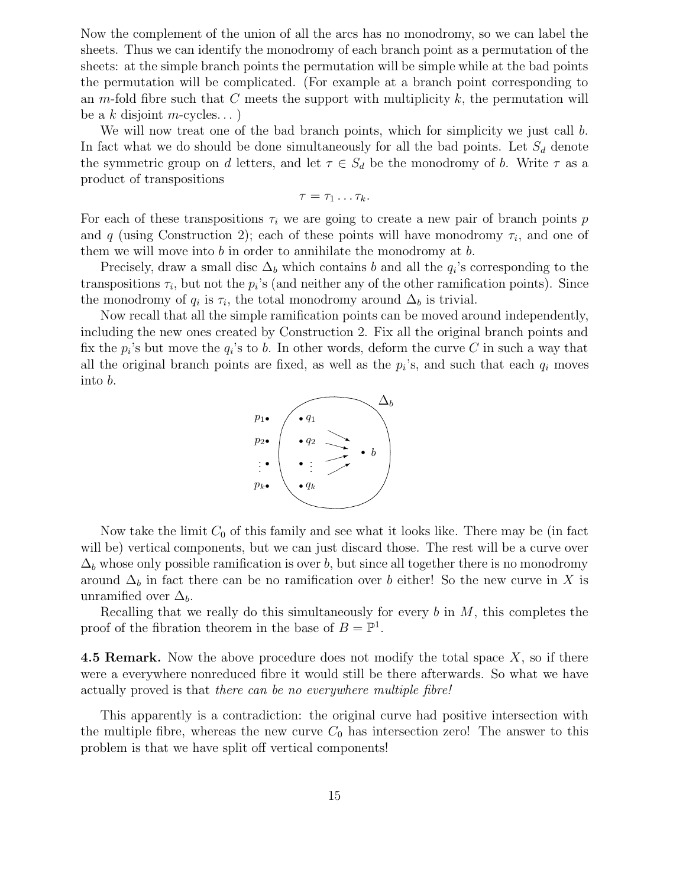Now the complement of the union of all the arcs has no monodromy, so we can label the sheets. Thus we can identify the monodromy of each branch point as a permutation of the sheets: at the simple branch points the permutation will be simple while at the bad points the permutation will be complicated. (For example at a branch point corresponding to an m-fold fibre such that C meets the support with multiplicity  $k$ , the permutation will be a k disjoint m-cycles...)

We will now treat one of the bad branch points, which for simplicity we just call b. In fact what we do should be done simultaneously for all the bad points. Let  $S_d$  denote the symmetric group on d letters, and let  $\tau \in S_d$  be the monodromy of b. Write  $\tau$  as a product of transpositions

$$
\tau=\tau_1\ldots\tau_k.
$$

For each of these transpositions  $\tau_i$  we are going to create a new pair of branch points p and q (using Construction 2); each of these points will have monodromy  $\tau_i$ , and one of them we will move into  $b$  in order to annihilate the monodromy at  $b$ .

Precisely, draw a small disc  $\Delta_b$  which contains b and all the  $q_i$ 's corresponding to the transpositions  $\tau_i$ , but not the  $p_i$ 's (and neither any of the other ramification points). Since the monodromy of  $q_i$  is  $\tau_i$ , the total monodromy around  $\Delta_b$  is trivial.

Now recall that all the simple ramification points can be moved around independently, including the new ones created by Construction 2. Fix all the original branch points and fix the  $p_i$ 's but move the  $q_i$ 's to b. In other words, deform the curve C in such a way that all the original branch points are fixed, as well as the  $p_i$ 's, and such that each  $q_i$  moves into b.



Now take the limit  $C_0$  of this family and see what it looks like. There may be (in fact will be) vertical components, but we can just discard those. The rest will be a curve over  $\Delta_b$  whose only possible ramification is over b, but since all together there is no monodromy around  $\Delta_b$  in fact there can be no ramification over b either! So the new curve in X is unramified over  $\Delta_b$ .

Recalling that we really do this simultaneously for every  $b$  in  $M$ , this completes the proof of the fibration theorem in the base of  $B = \mathbb{P}^1$ .

**4.5 Remark.** Now the above procedure does not modify the total space  $X$ , so if there were a everywhere nonreduced fibre it would still be there afterwards. So what we have actually proved is that there can be no everywhere multiple fibre!

This apparently is a contradiction: the original curve had positive intersection with the multiple fibre, whereas the new curve  $C_0$  has intersection zero! The answer to this problem is that we have split off vertical components!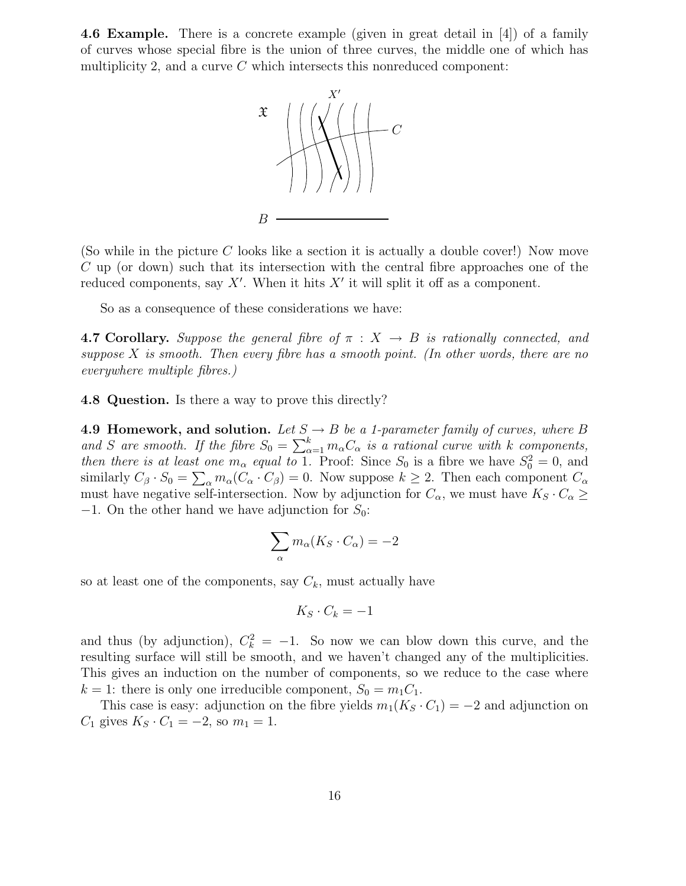4.6 Example. There is a concrete example (given in great detail in [4]) of a family of curves whose special fibre is the union of three curves, the middle one of which has multiplicity 2, and a curve  $C$  which intersects this nonreduced component:



(So while in the picture  $C$  looks like a section it is actually a double cover!) Now move C up (or down) such that its intersection with the central fibre approaches one of the reduced components, say  $X'$ . When it hits  $X'$  it will split it off as a component.

So as a consequence of these considerations we have:

**4.7 Corollary.** Suppose the general fibre of  $\pi$  :  $X \rightarrow B$  is rationally connected, and suppose  $X$  is smooth. Then every fibre has a smooth point. (In other words, there are no everywhere multiple fibres.)

4.8 Question. Is there a way to prove this directly?

4.9 Homework, and solution. Let  $S \rightarrow B$  be a 1-parameter family of curves, where B and S are smooth. If the fibre  $S_0 = \sum_{\alpha=1}^k m_{\alpha} C_{\alpha}$  is a rational curve with k components, then there is at least one  $m_{\alpha}$  equal to 1. Proof: Since  $S_0$  is a fibre we have  $S_0^2 = 0$ , and similarly  $C_\beta \cdot S_0 = \sum_\alpha m_\alpha (C_\alpha \cdot C_\beta) = 0$ . Now suppose  $k \ge 2$ . Then each component  $C_\alpha$ must have negative self-intersection. Now by adjunction for  $C_{\alpha}$ , we must have  $K_S \cdot C_{\alpha} \geq$  $-1$ . On the other hand we have adjunction for  $S_0$ :

$$
\sum_{\alpha} m_{\alpha}(K_S \cdot C_{\alpha}) = -2
$$

so at least one of the components, say  $C_k$ , must actually have

$$
K_S \cdot C_k = -1
$$

and thus (by adjunction),  $C_k^2 = -1$ . So now we can blow down this curve, and the resulting surface will still be smooth, and we haven't changed any of the multiplicities. This gives an induction on the number of components, so we reduce to the case where  $k = 1$ : there is only one irreducible component,  $S_0 = m_1 C_1$ .

This case is easy: adjunction on the fibre yields  $m_1(K_S \cdot C_1) = -2$  and adjunction on  $C_1$  gives  $K_S \cdot C_1 = -2$ , so  $m_1 = 1$ .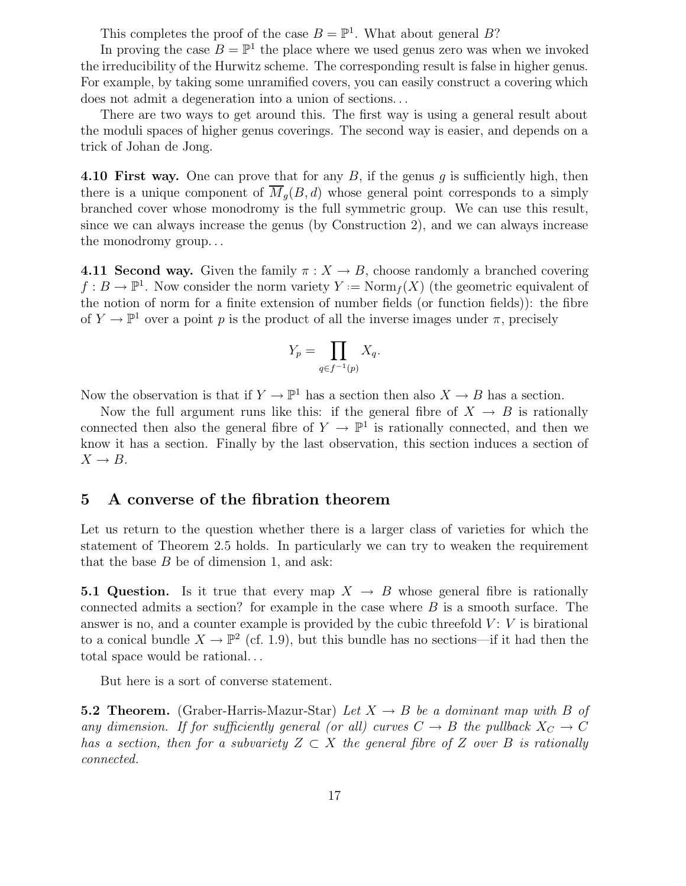This completes the proof of the case  $B = \mathbb{P}^1$ . What about general B?

In proving the case  $B = \mathbb{P}^1$  the place where we used genus zero was when we invoked the irreducibility of the Hurwitz scheme. The corresponding result is false in higher genus. For example, by taking some unramified covers, you can easily construct a covering which does not admit a degeneration into a union of sections. . .

There are two ways to get around this. The first way is using a general result about the moduli spaces of higher genus coverings. The second way is easier, and depends on a trick of Johan de Jong.

4.10 First way. One can prove that for any  $B$ , if the genus q is sufficiently high, then there is a unique component of  $\overline{M}_q(B, d)$  whose general point corresponds to a simply branched cover whose monodromy is the full symmetric group. We can use this result, since we can always increase the genus (by Construction 2), and we can always increase the monodromy group. . .

**4.11 Second way.** Given the family  $\pi : X \to B$ , choose randomly a branched covering  $f: B \to \mathbb{P}^1$ . Now consider the norm variety  $Y := \text{Norm}_f(X)$  (the geometric equivalent of the notion of norm for a finite extension of number fields (or function fields)): the fibre of  $Y \to \mathbb{P}^1$  over a point p is the product of all the inverse images under  $\pi$ , precisely

$$
Y_p = \prod_{q \in f^{-1}(p)} X_q.
$$

Now the observation is that if  $Y \to \mathbb{P}^1$  has a section then also  $X \to B$  has a section.

Now the full argument runs like this: if the general fibre of  $X \to B$  is rationally connected then also the general fibre of  $Y \to \mathbb{P}^1$  is rationally connected, and then we know it has a section. Finally by the last observation, this section induces a section of  $X \rightarrow B$ .

### 5 A converse of the fibration theorem

Let us return to the question whether there is a larger class of varieties for which the statement of Theorem 2.5 holds. In particularly we can try to weaken the requirement that the base  $B$  be of dimension 1, and ask:

**5.1 Question.** Is it true that every map  $X \to B$  whose general fibre is rationally connected admits a section? for example in the case where  $B$  is a smooth surface. The answer is no, and a counter example is provided by the cubic threefold  $V: V$  is birational to a conical bundle  $X \to \mathbb{P}^2$  (cf. 1.9), but this bundle has no sections—if it had then the total space would be rational. . .

But here is a sort of converse statement.

**5.2 Theorem.** (Graber-Harris-Mazur-Star) Let  $X \rightarrow B$  be a dominant map with B of any dimension. If for sufficiently general (or all) curves  $C \to B$  the pullback  $X_C \to C$ has a section, then for a subvariety  $Z \subset X$  the general fibre of Z over B is rationally connected.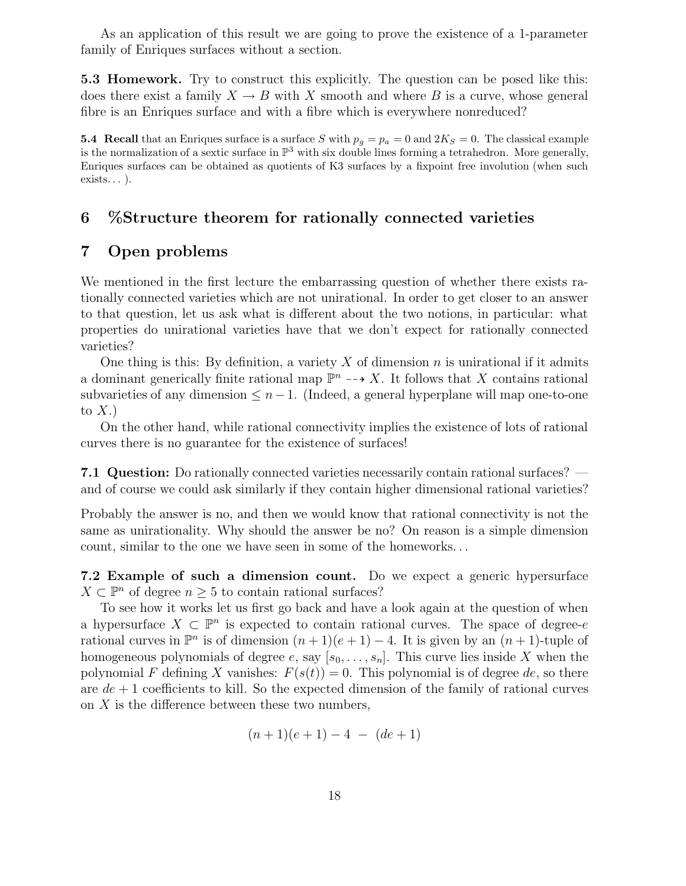As an application of this result we are going to prove the existence of a 1-parameter family of Enriques surfaces without a section.

5.3 Homework. Try to construct this explicitly. The question can be posed like this: does there exist a family  $X \to B$  with X smooth and where B is a curve, whose general fibre is an Enriques surface and with a fibre which is everywhere nonreduced?

5.4 Recall that an Enriques surface is a surface S with  $p_q = p_a = 0$  and  $2K_s = 0$ . The classical example is the normalization of a sextic surface in  $\mathbb{P}^3$  with six double lines forming a tetrahedron. More generally, Enriques surfaces can be obtained as quotients of K3 surfaces by a fixpoint free involution (when such exists... ).

# 6 %Structure theorem for rationally connected varieties

# 7 Open problems

We mentioned in the first lecture the embarrassing question of whether there exists rationally connected varieties which are not unirational. In order to get closer to an answer to that question, let us ask what is different about the two notions, in particular: what properties do unirational varieties have that we don't expect for rationally connected varieties?

One thing is this: By definition, a variety X of dimension n is unirational if it admits a dominant generically finite rational map  $\mathbb{P}^n \dashrightarrow X$ . It follows that X contains rational subvarieties of any dimension  $\leq n-1$ . (Indeed, a general hyperplane will map one-to-one to  $X.$ )

On the other hand, while rational connectivity implies the existence of lots of rational curves there is no guarantee for the existence of surfaces!

7.1 Question: Do rationally connected varieties necessarily contain rational surfaces? and of course we could ask similarly if they contain higher dimensional rational varieties?

Probably the answer is no, and then we would know that rational connectivity is not the same as unirationality. Why should the answer be no? On reason is a simple dimension count, similar to the one we have seen in some of the homeworks. . .

7.2 Example of such a dimension count. Do we expect a generic hypersurface  $X \subset \mathbb{P}^n$  of degree  $n \geq 5$  to contain rational surfaces?

To see how it works let us first go back and have a look again at the question of when a hypersurface  $X \subset \mathbb{P}^n$  is expected to contain rational curves. The space of degree-e rational curves in  $\mathbb{P}^n$  is of dimension  $(n+1)(e+1) - 4$ . It is given by an  $(n+1)$ -tuple of homogeneous polynomials of degree e, say  $[s_0, \ldots, s_n]$ . This curve lies inside X when the polynomial F defining X vanishes:  $F(s(t)) = 0$ . This polynomial is of degree de, so there are  $de + 1$  coefficients to kill. So the expected dimension of the family of rational curves on  $X$  is the difference between these two numbers,

$$
(n+1)(e+1) - 4 - (de+1)
$$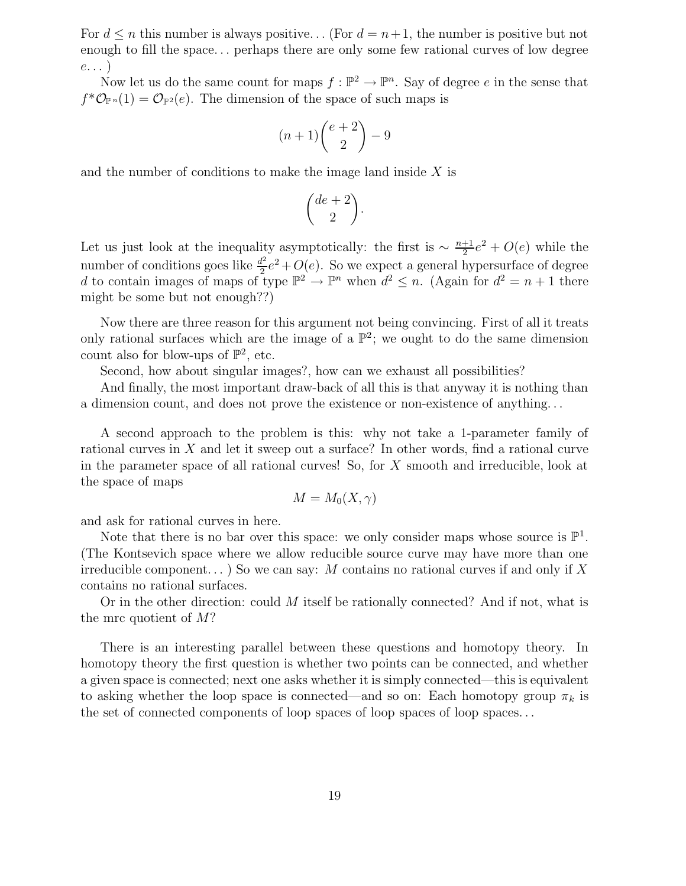For  $d \leq n$  this number is always positive... (For  $d = n+1$ , the number is positive but not enough to fill the space. . . perhaps there are only some few rational curves of low degree  $e \dots$ )

Now let us do the same count for maps  $f : \mathbb{P}^2 \to \mathbb{P}^n$ . Say of degree e in the sense that  $f^*\mathcal{O}_{\mathbb{P}^n}(1) = \mathcal{O}_{\mathbb{P}^2}(e)$ . The dimension of the space of such maps is

$$
(n+1)\binom{e+2}{2}-9
$$

and the number of conditions to make the image land inside  $X$  is

$$
\binom{de+2}{2}.
$$

Let us just look at the inequality asymptotically: the first is  $\sim \frac{n+1}{2}e^2 + O(e)$  while the number of conditions goes like  $\frac{d^2}{2}$  $\frac{d^2}{2}e^2+O(e)$ . So we expect a general hypersurface of degree d to contain images of maps of type  $\mathbb{P}^2 \to \mathbb{P}^n$  when  $d^2 \leq n$ . (Again for  $d^2 = n + 1$  there might be some but not enough??)

Now there are three reason for this argument not being convincing. First of all it treats only rational surfaces which are the image of a  $\mathbb{P}^2$ ; we ought to do the same dimension count also for blow-ups of  $\mathbb{P}^2$ , etc.

Second, how about singular images?, how can we exhaust all possibilities?

And finally, the most important draw-back of all this is that anyway it is nothing than a dimension count, and does not prove the existence or non-existence of anything. . .

A second approach to the problem is this: why not take a 1-parameter family of rational curves in X and let it sweep out a surface? In other words, find a rational curve in the parameter space of all rational curves! So, for X smooth and irreducible, look at the space of maps

$$
M=M_0(X,\gamma)
$$

and ask for rational curves in here.

Note that there is no bar over this space: we only consider maps whose source is  $\mathbb{P}^1$ . (The Kontsevich space where we allow reducible source curve may have more than one irreducible component...) So we can say: M contains no rational curves if and only if X contains no rational surfaces.

Or in the other direction: could M itself be rationally connected? And if not, what is the mrc quotient of M?

There is an interesting parallel between these questions and homotopy theory. In homotopy theory the first question is whether two points can be connected, and whether a given space is connected; next one asks whether it is simply connected—this is equivalent to asking whether the loop space is connected—and so on: Each homotopy group  $\pi_k$  is the set of connected components of loop spaces of loop spaces of loop spaces...